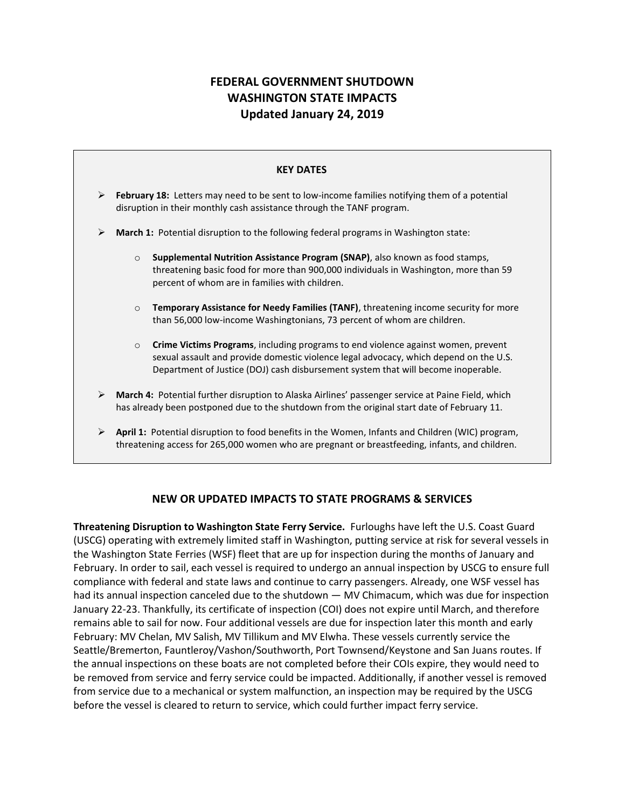## **FEDERAL GOVERNMENT SHUTDOWN WASHINGTON STATE IMPACTS Updated January 24, 2019**



## **NEW OR UPDATED IMPACTS TO STATE PROGRAMS & SERVICES**

**Threatening Disruption to Washington State Ferry Service.** Furloughs have left the U.S. Coast Guard (USCG) operating with extremely limited staff in Washington, putting service at risk for several vessels in the Washington State Ferries (WSF) fleet that are up for inspection during the months of January and February. In order to sail, each vessel is required to undergo an annual inspection by USCG to ensure full compliance with federal and state laws and continue to carry passengers. Already, one WSF vessel has had its annual inspection canceled due to the shutdown — MV Chimacum, which was due for inspection January 22-23. Thankfully, its certificate of inspection (COI) does not expire until March, and therefore remains able to sail for now. Four additional vessels are due for inspection later this month and early February: MV Chelan, MV Salish, MV Tillikum and MV Elwha. These vessels currently service the Seattle/Bremerton, Fauntleroy/Vashon/Southworth, Port Townsend/Keystone and San Juans routes. If the annual inspections on these boats are not completed before their COIs expire, they would need to be removed from service and ferry service could be impacted. Additionally, if another vessel is removed from service due to a mechanical or system malfunction, an inspection may be required by the USCG before the vessel is cleared to return to service, which could further impact ferry service.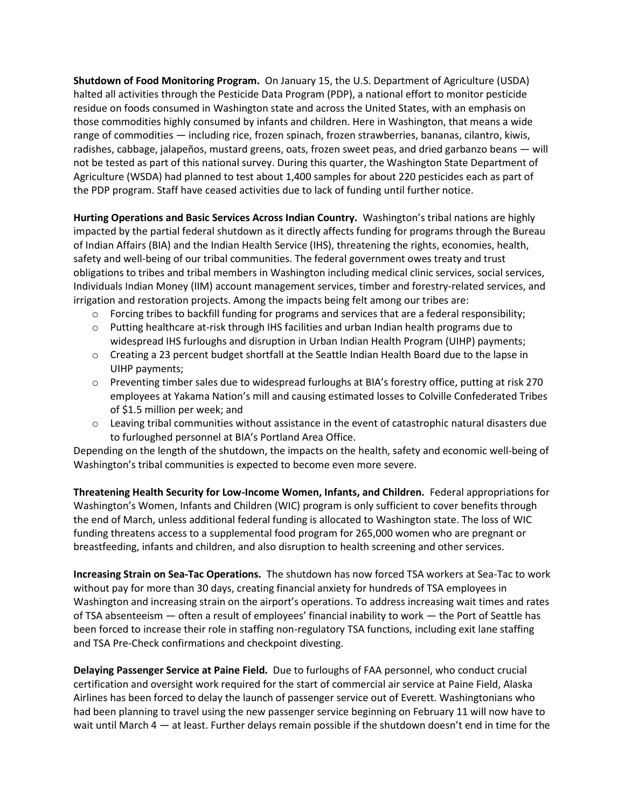**Shutdown of Food Monitoring Program.** On January 15, the U.S. Department of Agriculture (USDA) halted all activities through the Pesticide Data Program (PDP), a national effort to monitor pesticide residue on foods consumed in Washington state and across the United States, with an emphasis on those commodities highly consumed by infants and children. Here in Washington, that means a wide range of commodities — including rice, frozen spinach, frozen strawberries, bananas, cilantro, kiwis, radishes, cabbage, jalapeños, mustard greens, oats, frozen sweet peas, and dried garbanzo beans — will not be tested as part of this national survey. During this quarter, the Washington State Department of Agriculture (WSDA) had planned to test about 1,400 samples for about 220 pesticides each as part of the PDP program. Staff have ceased activities due to lack of funding until further notice.

**Hurting Operations and Basic Services Across Indian Country.** Washington's tribal nations are highly impacted by the partial federal shutdown as it directly affects funding for programs through the Bureau of Indian Affairs (BIA) and the Indian Health Service (IHS), threatening the rights, economies, health, safety and well-being of our tribal communities. The federal government owes treaty and trust obligations to tribes and tribal members in Washington including medical clinic services, social services, Individuals Indian Money (IIM) account management services, timber and forestry-related services, and irrigation and restoration projects. Among the impacts being felt among our tribes are:

- $\circ$  Forcing tribes to backfill funding for programs and services that are a federal responsibility;
- $\circ$  Putting healthcare at-risk through IHS facilities and urban Indian health programs due to widespread IHS furloughs and disruption in Urban Indian Health Program (UIHP) payments;
- $\circ$  Creating a 23 percent budget shortfall at the Seattle Indian Health Board due to the lapse in UIHP payments;
- o Preventing timber sales due to widespread furloughs at BIA's forestry office, putting at risk 270 employees at Yakama Nation's mill and causing estimated losses to Colville Confederated Tribes of \$1.5 million per week; and
- $\circ$  Leaving tribal communities without assistance in the event of catastrophic natural disasters due to furloughed personnel at BIA's Portland Area Office.

Depending on the length of the shutdown, the impacts on the health, safety and economic well-being of Washington's tribal communities is expected to become even more severe.

**Threatening Health Security for Low-Income Women, Infants, and Children.** Federal appropriations for Washington's Women, Infants and Children (WIC) program is only sufficient to cover benefits through the end of March, unless additional federal funding is allocated to Washington state. The loss of WIC funding threatens access to a supplemental food program for 265,000 women who are pregnant or breastfeeding, infants and children, and also disruption to health screening and other services.

**Increasing Strain on Sea-Tac Operations.** The shutdown has now forced TSA workers at Sea-Tac to work without pay for more than 30 days, creating financial anxiety for hundreds of TSA employees in Washington and increasing strain on the airport's operations. To address increasing wait times and rates of TSA absenteeism — often a result of employees' financial inability to work — the Port of Seattle has been forced to increase their role in staffing non-regulatory TSA functions, including exit lane staffing and TSA Pre-Check confirmations and checkpoint divesting.

**Delaying Passenger Service at Paine Field.** Due to furloughs of FAA personnel, who conduct crucial certification and oversight work required for the start of commercial air service at Paine Field, Alaska Airlines has been forced to delay the launch of passenger service out of Everett. Washingtonians who had been planning to travel using the new passenger service beginning on February 11 will now have to wait until March 4 — at least. Further delays remain possible if the shutdown doesn't end in time for the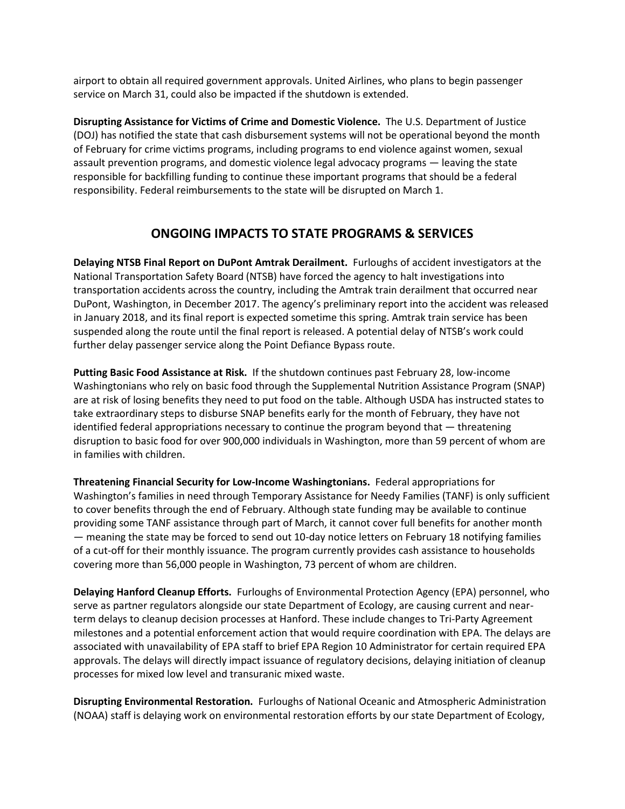airport to obtain all required government approvals. United Airlines, who plans to begin passenger service on March 31, could also be impacted if the shutdown is extended.

**Disrupting Assistance for Victims of Crime and Domestic Violence.** The U.S. Department of Justice (DOJ) has notified the state that cash disbursement systems will not be operational beyond the month of February for crime victims programs, including programs to end violence against women, sexual assault prevention programs, and domestic violence legal advocacy programs — leaving the state responsible for backfilling funding to continue these important programs that should be a federal responsibility. Federal reimbursements to the state will be disrupted on March 1.

## **ONGOING IMPACTS TO STATE PROGRAMS & SERVICES**

**Delaying NTSB Final Report on DuPont Amtrak Derailment.** Furloughs of accident investigators at the National Transportation Safety Board (NTSB) have forced the agency to halt investigations into transportation accidents across the country, including the Amtrak train derailment that occurred near DuPont, Washington, in December 2017. The agency's preliminary report into the accident was released in January 2018, and its final report is expected sometime this spring. Amtrak train service has been suspended along the route until the final report is released. A potential delay of NTSB's work could further delay passenger service along the Point Defiance Bypass route.

**Putting Basic Food Assistance at Risk.** If the shutdown continues past February 28, low-income Washingtonians who rely on basic food through the Supplemental Nutrition Assistance Program (SNAP) are at risk of losing benefits they need to put food on the table. Although USDA has instructed states to take extraordinary steps to disburse SNAP benefits early for the month of February, they have not identified federal appropriations necessary to continue the program beyond that — threatening disruption to basic food for over 900,000 individuals in Washington, more than 59 percent of whom are in families with children.

**Threatening Financial Security for Low-Income Washingtonians.** Federal appropriations for Washington's families in need through Temporary Assistance for Needy Families (TANF) is only sufficient to cover benefits through the end of February. Although state funding may be available to continue providing some TANF assistance through part of March, it cannot cover full benefits for another month — meaning the state may be forced to send out 10-day notice letters on February 18 notifying families of a cut-off for their monthly issuance. The program currently provides cash assistance to households covering more than 56,000 people in Washington, 73 percent of whom are children.

**Delaying Hanford Cleanup Efforts.** Furloughs of Environmental Protection Agency (EPA) personnel, who serve as partner regulators alongside our state Department of Ecology, are causing current and nearterm delays to cleanup decision processes at Hanford. These include changes to Tri-Party Agreement milestones and a potential enforcement action that would require coordination with EPA. The delays are associated with unavailability of EPA staff to brief EPA Region 10 Administrator for certain required EPA approvals. The delays will directly impact issuance of regulatory decisions, delaying initiation of cleanup processes for mixed low level and transuranic mixed waste.

**Disrupting Environmental Restoration.** Furloughs of National Oceanic and Atmospheric Administration (NOAA) staff is delaying work on environmental restoration efforts by our state Department of Ecology,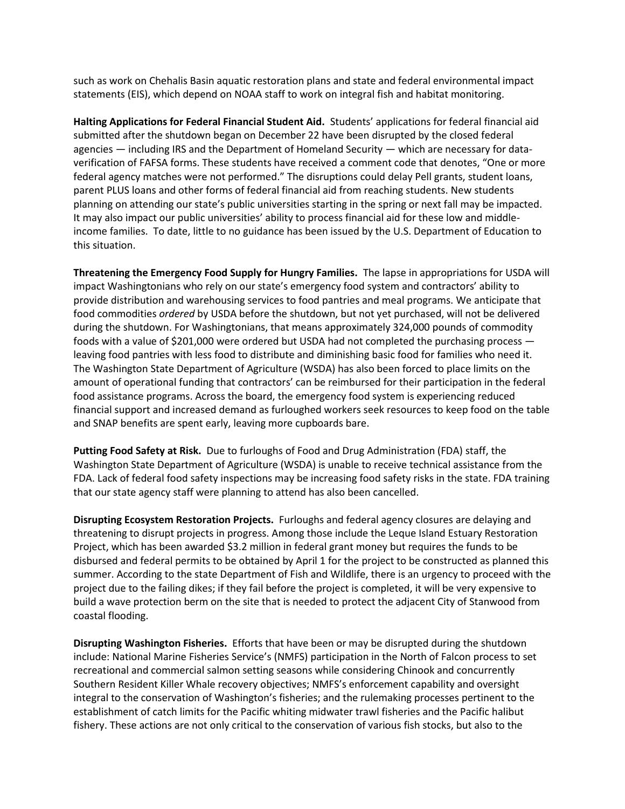such as work on Chehalis Basin aquatic restoration plans and state and federal environmental impact statements (EIS), which depend on NOAA staff to work on integral fish and habitat monitoring.

**Halting Applications for Federal Financial Student Aid.** Students' applications for federal financial aid submitted after the shutdown began on December 22 have been disrupted by the closed federal agencies — including IRS and the Department of Homeland Security — which are necessary for dataverification of FAFSA forms. These students have received a comment code that denotes, "One or more federal agency matches were not performed." The disruptions could delay Pell grants, student loans, parent PLUS loans and other forms of federal financial aid from reaching students. New students planning on attending our state's public universities starting in the spring or next fall may be impacted. It may also impact our public universities' ability to process financial aid for these low and middleincome families. To date, little to no guidance has been issued by the U.S. Department of Education to this situation.

**Threatening the Emergency Food Supply for Hungry Families.** The lapse in appropriations for USDA will impact Washingtonians who rely on our state's emergency food system and contractors' ability to provide distribution and warehousing services to food pantries and meal programs. We anticipate that food commodities *ordered* by USDA before the shutdown, but not yet purchased, will not be delivered during the shutdown. For Washingtonians, that means approximately 324,000 pounds of commodity foods with a value of \$201,000 were ordered but USDA had not completed the purchasing process leaving food pantries with less food to distribute and diminishing basic food for families who need it. The Washington State Department of Agriculture (WSDA) has also been forced to place limits on the amount of operational funding that contractors' can be reimbursed for their participation in the federal food assistance programs. Across the board, the emergency food system is experiencing reduced financial support and increased demand as furloughed workers seek resources to keep food on the table and SNAP benefits are spent early, leaving more cupboards bare.

**Putting Food Safety at Risk.** Due to furloughs of Food and Drug Administration (FDA) staff, the Washington State Department of Agriculture (WSDA) is unable to receive technical assistance from the FDA. Lack of federal food safety inspections may be increasing food safety risks in the state. FDA training that our state agency staff were planning to attend has also been cancelled.

**Disrupting Ecosystem Restoration Projects.** Furloughs and federal agency closures are delaying and threatening to disrupt projects in progress. Among those include the Leque Island Estuary Restoration Project, which has been awarded \$3.2 million in federal grant money but requires the funds to be disbursed and federal permits to be obtained by April 1 for the project to be constructed as planned this summer. According to the state Department of Fish and Wildlife, there is an urgency to proceed with the project due to the failing dikes; if they fail before the project is completed, it will be very expensive to build a wave protection berm on the site that is needed to protect the adjacent City of Stanwood from coastal flooding.

**Disrupting Washington Fisheries.** Efforts that have been or may be disrupted during the shutdown include: National Marine Fisheries Service's (NMFS) participation in the North of Falcon process to set recreational and commercial salmon setting seasons while considering Chinook and concurrently Southern Resident Killer Whale recovery objectives; NMFS's enforcement capability and oversight integral to the conservation of Washington's fisheries; and the rulemaking processes pertinent to the establishment of catch limits for the Pacific whiting midwater trawl fisheries and the Pacific halibut fishery. These actions are not only critical to the conservation of various fish stocks, but also to the